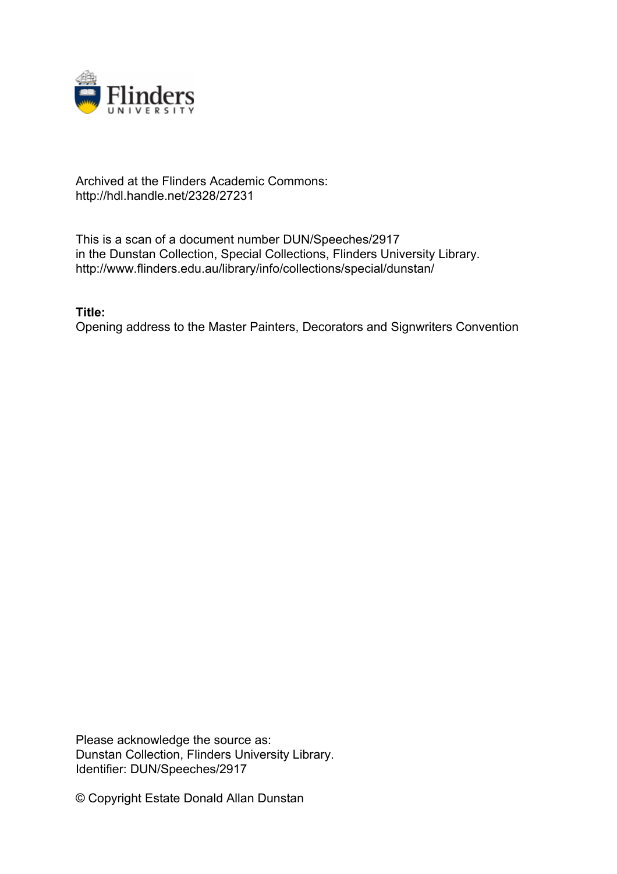

## Archived at the Flinders Academic Commons: http://hdl.handle.net/2328/27231

This is a scan of a document number DUN/Speeches/2917 in the Dunstan Collection, Special Collections, Flinders University Library. http://www.flinders.edu.au/library/info/collections/special/dunstan/

**Title:**

Opening address to the Master Painters, Decorators and Signwriters Convention

Please acknowledge the source as: Dunstan Collection, Flinders University Library. Identifier: DUN/Speeches/2917

© Copyright Estate Donald Allan Dunstan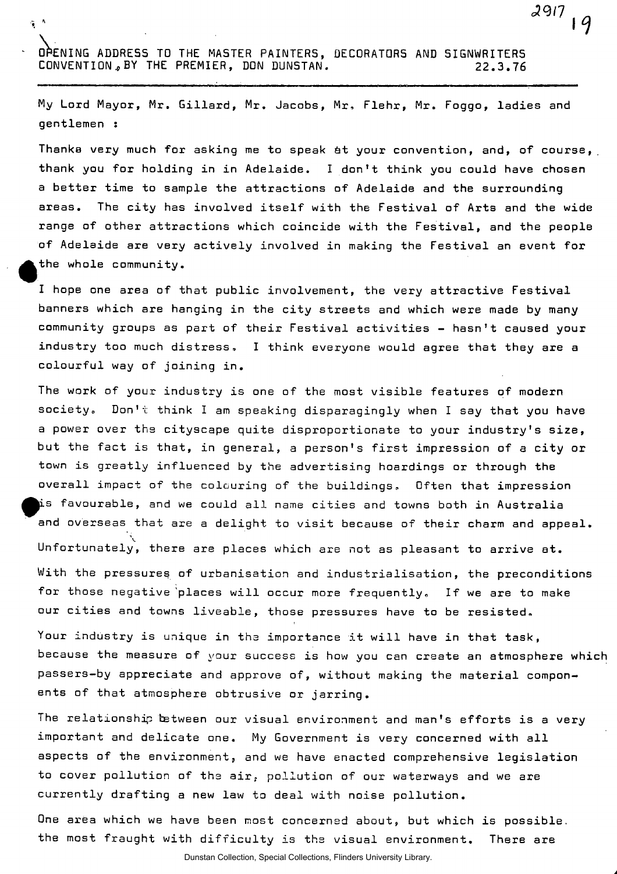OPENING ADDRES5 TO THE MASTER PAINTERS, DECORATORS AND SIGNWRITERS CONVENTION, BY THE PREMIER, DON DUNSTAN. 22.3.76

 $\tau$  .

My Lord Mayor, Mr. Gillard, Mr. Jacobs, Mr, Flehr, Mr. Foggo, ladies and gentlemen :

 $2917$ 

Thanka very much for asking me to speak &t your convention, and, of course, thank you for holding in in Adelaide. I don't think you could have chosen a better time to sample the attractions of Adelaide and the surrounding areas. The city has involved itself with the Festival of Arts and the wide range of other attractions which coincide with the Festival, and the people of Adelaide are very actively involved in making the Festival an event for the whole community.

I hope one area of that public involvement, the very attractive Festival banners which are hanging in the city streets and which were made by many community groups as part of their Festival activities - hasn't caused your industry too much distress, I think everyone would agree that they are a colourful way of joining in.

The work of your industry is one of the most visible features of modern society. Don't think I am speaking disparagingly when I say that you have a power over the cityscape quite disproportionate to your industry's size, but the fact is that, in general, a person's first impression of a city or town is greatly influenced by the advertising hoardings or through the overall impact of the colouring of the buildings. Often that impression is favourable, and we could all name cities and towns both in Australia and overseas that are a delight to visit because of their charm and appeal. **\**  Unfortunately, there are places which are not as pleasant to arrive at. With the pressures of urbanisation and industrialisation, the preconditions for those negative places will occur more frequently. If we are to make our cities and towns liveable, those pressures have to be resisted.

Your industry is unique in the importance it will have in that task, because the measure of your success is how you can create an atmosphere whic passers-by appreciate and approve of, without making the material components of that atmosphere obtrusive or jarring.

The relationship between our visual environment and man's efforts is a very important and delicate one. My Government is very concerned with all aspects of the environment, and we have enacted comprehensive legislation to cover pollution of the air, pollution of our waterways and we are currently drafting a new law to deal with noise pollution.

One area which we have been most concerned about, but which is possible, the most fraught with difficulty is the visual environment. There are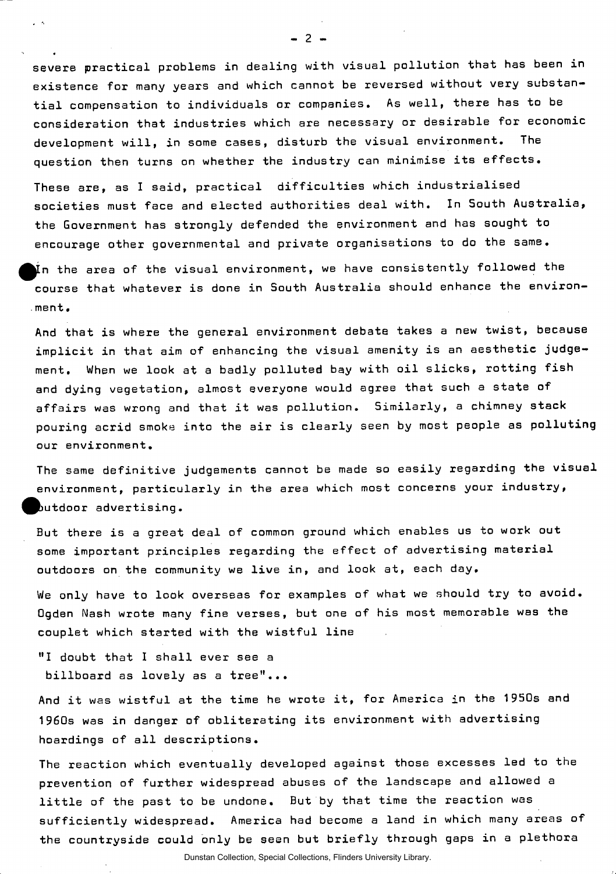severe practical problems in dealing with visual pollution that has been in existence for many years and which cannot be reversed without very substantial compensation to individuals or companies. As well, there has to be consideration that industries which are necessary or desirable for economic development will, in some cases, disturb the visual environment. The question then turns on whether the industry can minimise its effects.

These are, as I said, practical difficulties which industrialised societies must face and elected authorities deal with. In South Australia, the Government has strongly defended the environment and has sought to encourage other governmental and private organisations to do the same.

In the area of the visual environment, we have consistently followed the  $\blacksquare$ course that whatever is done in South Australia should enhance the environ- .ment.

And that is where the general environment debate takes a new twist, because implicit in that aim of enhancing the visual amenity is an aesthetic judgement. When we look at a badly polluted bay with oil slicks, rotting fish and dying vegetation, almost everyone would agree that such a state of affairs was wrong and that it was pollution. Similarly, a chimney stack pouring acrid smoke into the air is clearly seen by most people as polluting our environment.

The same definitive judgements cannot be made so easily regarding the visual environment, particularly in the area which most concerns your industry, butdoor advertising.

But there is a great deal of common ground which enables us to work out some important principles regarding the effect of advertising material outdoors on the community we live in, and look at, each day.

We only have to look overseas for examples of what we should try to avoid. Qgden Nash wrote many fine verses, but one of his most memorable was the couplet which started with the wistful line

"I doubt that I shall ever see a billboard as lovely as a tree"...

And it was wistful at the time he wrote it, for America in the 1950s and 1960s was in danger of obliterating its environment with advertising hoardings of all descriptions.

The reaction which eventually developed against those excesses led to the prevention of further widespread abuses of the landscape and allowed a little of the past to be undone. But by that time the reaction was sufficiently widespread. America had become a land in which many areas of the countryside could only be seen but briefly through gaps in a plethora

 $-2 -$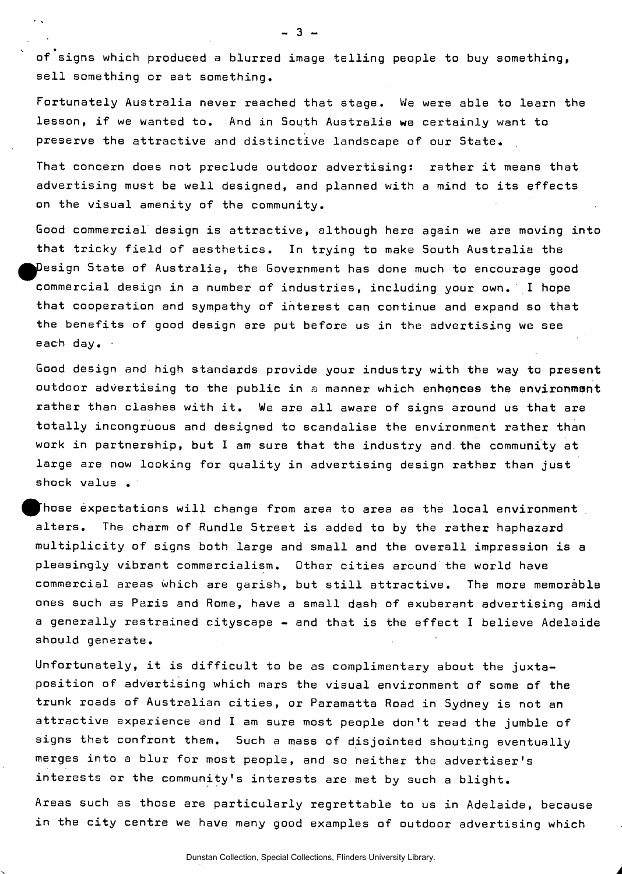of signs which produced a blurred image telling people to buy something, sell something or eat something.

 $-3 -$ 

Fortunately Australia never reached that stage. We were able to learn the lesson, if we wanted to. And in South Australia we certainly want to preserve the attractive and distinctive landscape of our State.

That concern does not preclude outdoor advertising: rather it means that advertising must be well designed, and planned with a mind to its effects on the visual amenity of the community.

Good commercial design is attractive, although here again we are moving into that tricky field of aesthetics. In trying to make South Australia the ^^Design State of Australia, the Government has done much to encourage good commercial design in a number of industries, including your own. I hope that cooperation and sympathy of interest can continue and expand so that the benefits of good design are put before us in the advertising we see each day.

Good design and high standards provide your industry with the way to present outdoor advertising to the public in a manner which enhances the environment rather than clashes with it. We are all aware of signs around us that are totally incongruous and designed to scandalise the environment rather than work in partnership, but I am sure that the industry and. the community at large are now looking for quality in advertising design rather than just shock value .

Those expectations will change from area to area as the local environment alters. The charm of Rundle Street is added to by the rather haphazard multiplicity of signs both large and small and the overall impression is a pleasingly vibrant commercialism. Other cities around the world have commercial areas which are garish, but still attractive. The more memorable ones such as Paris and Rome, have a small dash of exuberant advertising amid a generally restrained cityscape - and that is the effect I believe Adelaide should generate.

Unfortunately, it is difficult to be as complimentary about the juxtaposition of advertising which mars the visual environment of some of the trunk roads of Australian cities, or Paramatta Road in Sydney is not an attractive experience and I am sure most people don't read the jumble of signs that confront them. Such a mass of disjointed shouting eventually merges into a blur for most people, and so neither the advertiser's interests or the community's interests are met by such a blight.

Areas such as those are particularly regrettable to us in Adelaide, because in the city centre we have many good examples of outdoor advertising which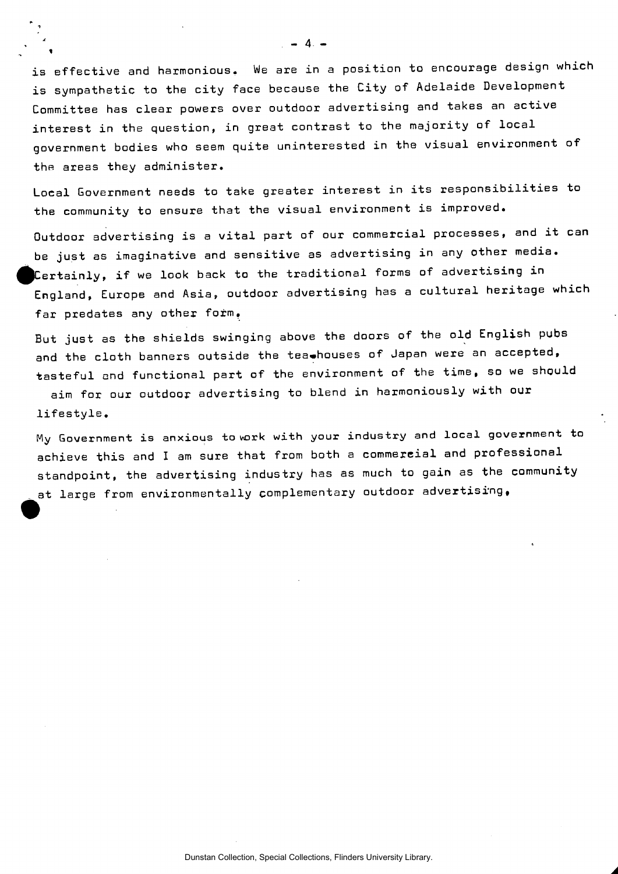is effective and harmonious. We are in a position to encourage design which is sympathetic to the city face because the City of Adelaide Development Committee has clear powers over outdoor advertising and takes an active interest in the question, in great contrast to the majority of local government bodies who seem quite uninterested in the visual environment of the areas they administer.

Local Government needs to take greater interest in its responsibilities to the community to ensure that the visual environment is improved.

Outdoor advertising is a vital part of our commercial processes, and it can be just as imaginative and sensitive as advertising in any other media. Certainly, if we look back to the traditional forms of advertising in England, Europe and Asia, outdoor advertising has a cultural heritage which far predates any other form.

But just as the shields swinging above the doors of the old English pubs and the cloth banners outside the tea.houses of Japan were an accepted, tasteful and functional part of the environment of the time, so we should

aim for our outdoor advertising to blend in harmoniously with our lifestyle.

My Government is anxious to wark with your industry and local government to achieve this and I am sure that from both a commercial and professional standpoint, the advertising industry has as much to gain as the community at large from environmentally complementary outdoor advertising,

**- 4 -**

 $\mathbf{t}$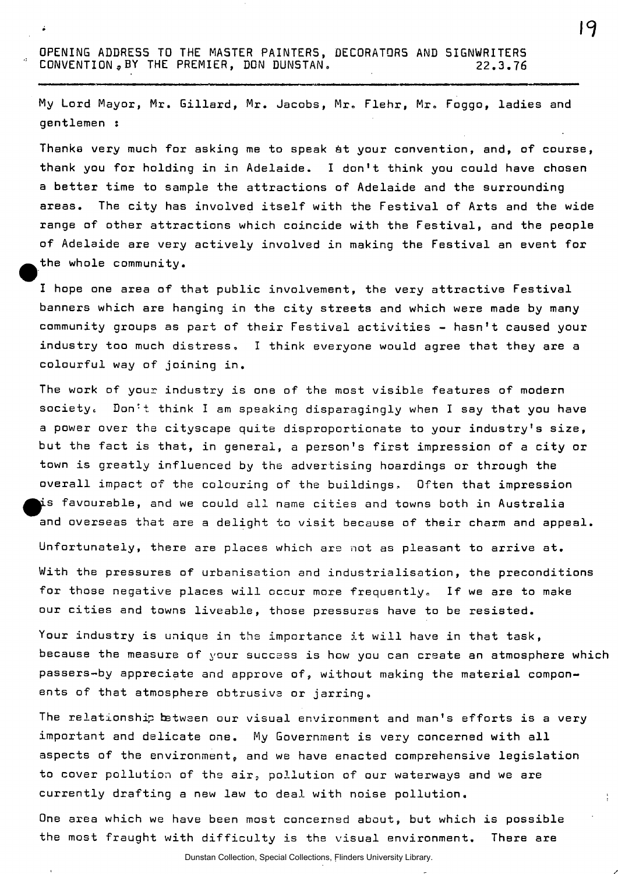OPENING ADDRESS TO THE MASTER PAINTERS, DECORATORS AND SIGNWRITERS CONVENTION,BY THE PREMIER, DON DUNSTAN. 22.3.76

My Lord Mayor, Mr. Gillard, Mr. Jacobs, Mr. Flehr, Mr. Foggo, ladies and gentlemen :

Thanks very much for asking me to speak &t your convention, and, of course, thank you for holding in in Adelaide. I don't think you could have chosen a better time to sample the attractions of Adelaide and the surrounding areas. The city has involved itself with the Festival of Arts and the wide range of other attractions which coincide with the Festival, and the people of Adelaide are very actively involved in making the Festival an event for the whole community.

I hope one area of that public involvement, the very attractive Festival banners which are hanging in the city streets and which were made by many community groups as part of their Festival activities - hasn't caused your industry too much distress, I think everyone would agree that they are a colourful way of joining in.

The work of your industry is one of the most visible features of modern society. Don't think I am speaking disparagingly when I say that you have a power over the cityscape quite disproportionate to your industry's size, but the fact is that, in general, a person's first impression of a city or town is greatly influenced by the advertising hoardings or through the overall impact of the colouring of the buildings. Often that impression  $\,$  favourable, and we could all name cities and towns both in Australia and overseas that are a delight to visit because of their charm and appeal. Unfortunately, there are places which are not as pleasant to arrive at. With the pressures of urbanisation and industrialisation, the preconditions for those negative places will occur more frequently. If we are to make our cities and towns liveable, those pressures have to be resisted.

Your industry is unique in the importance it will have in that task, because the measure of your success is how you can create an atmosphere which passers-by appreciate and approve of, without making the material components of that atmosphere obtrusive or jarring.

The relationship between our visual environment and man's efforts is a very important and delicate one. My Government is very concerned with all aspects of the environment,, and we have enacted comprehensive legislation to cover pollution of the air, pollution of our waterways and we are currently drafting a new law to deal with noise pollution.

One area which we have been most concerned about, but which is possible the most fraught with difficulty is the visual environment. There are

Dunstan Collection, Special Collections, Flinders University Library.

19

ŧ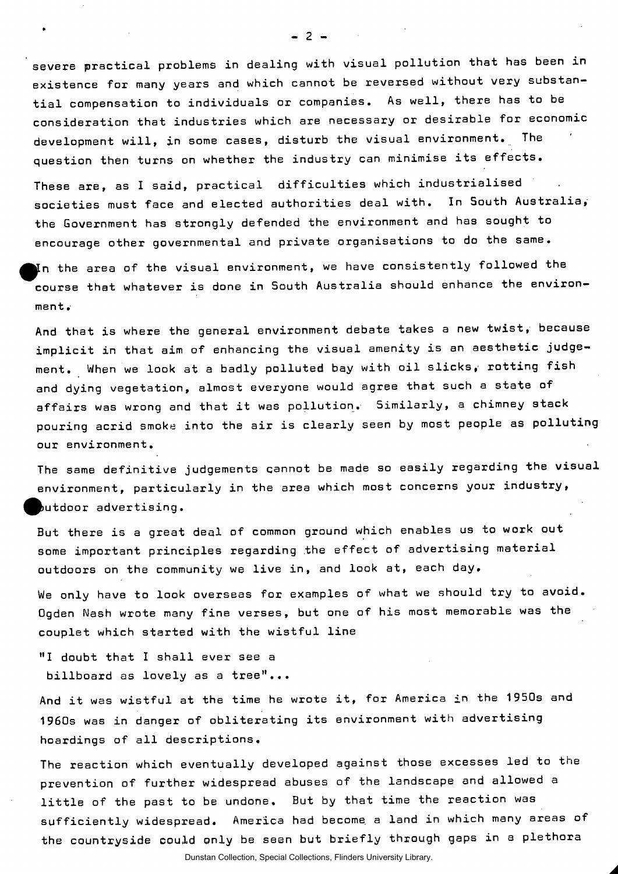severe practical problems in dealing with visual pollution that has been in existence for many years and which cannot be reversed without very substantial compensation to individuals or companies. As well, there has to be consideration that industries which are necessary or desirable for economic development will, in some cases, disturb the visual environment. The question then turns on whether the industry can minimise its effects.

 $-2 -$ 

These are, as I said, practical difficulties which industrialised societies must face and elected authorities deal with. In South Australia, the Government has strongly defended the environment and has sought to encourage other governmental and private organisations to do the same.

In the area of the visual environment, we have consistently followed the course that whatever is done in South Australia should enhance the environment .

And that is where the general environment debate takes a new twist, because implicit in that aim of enhancing the visual amenity is an aesthetic judgement. When we look at a badly polluted bay with oil slicks, rotting fish and dying vegetation, almost everyone would agree that such a state of affairs was wrong and that it was pollution. Similarly, a chimney stack pouring acrid smoke into the air is clearly seen by most people as polluting our environment.

The same definitive judgements qannot be made so easily regarding the visual environment, particularly in the area which most concerns your industry, butdoor advertising.

But there is a great deal of common ground which enables us to work out some important principles regarding the effect of advertising material outdoors on the community we live in, and look at, each day.

We only have to look overseas for examples of what we should try to avoid. Ogden Nash wrote many fine verses, but one of his most memorable was the couplet which started with the wistful line

"I doubt that I shall ever see a billboard as lovely as a tree"...

And it was wistful at the time he wrote it, for America in the 1950s and 1960s was in danger of obliterating its environment with advertising hoardings of all descriptions.

The reaction which eventually developed against those excesses led to the prevention of further widespread abuses of the landscape and allowed a little of the past to be undone. But by that time the reaction was sufficiently widespread. America had become, a land in which many areas of the countryside could only be seen but briefly through gaps in a plethora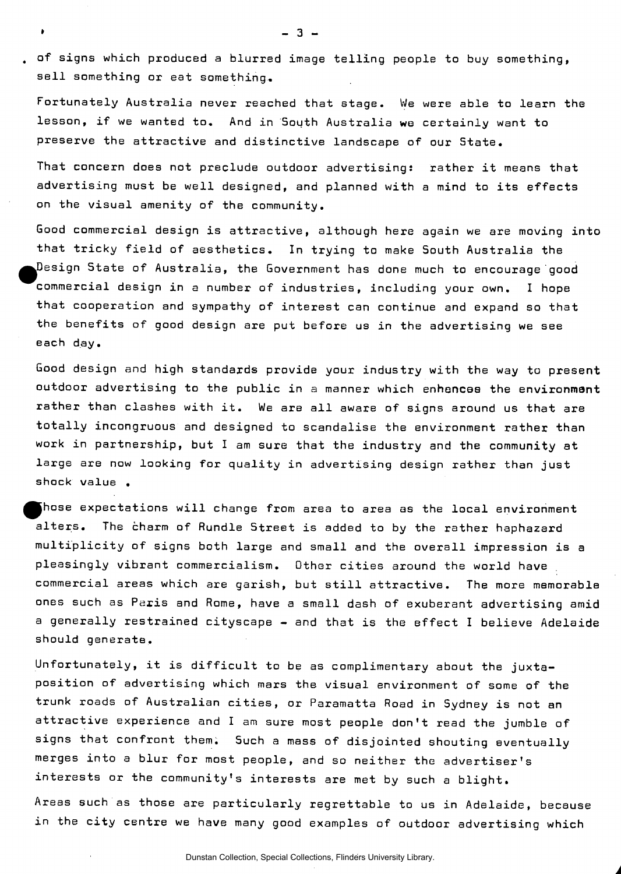, of signs which produced a blurred image telling people to buy something, sell something or eat something.

**» - 3 -**

Fortunately Australia never reached that stage. We were able to learn the lesson, if we wanted to. And in South Australia we certainly want to preserve the attractive and distinctive landscape of our State.

That concern does not preclude outdoor advertising: rather it means that advertising must be well designed, and planned with a mind to its effects on the visual amenity of the community.

Good commercial design is attractive, although here again we are moving into that tricky field of aesthetics. In trying to make South Australia the  $\rho$ esign State of Australia, the Government has done much to encourage good commercial design in a number of industries, including your own. I hope that cooperation and sympathy of interest can continue and expand so that the benefits of good design are put before us in the advertising we see each day.

Good design and high standards provide your industry with the way to present outdoor advertising to the public in a manner which enhances the environment rather than clashes with it. We are all aware of signs around us that are totally incongruous and designed to scandalise the environment rather than work in partnership, but I am sure that the industry and the community at large are now looking for quality in advertising design rather than just shock value .

Those expectations will change from area to area as the local environment alters. The charm of Rundle Street is added to by the rather haphazard multiplicity of signs both large and small and the overall impression is a pleasingly vibrant commercialism. Other cities around the world have commercial areas which are garish, but still attractive. The more memorable ones such as Paris and Rome, have a small dash of exuberant advertising amid a generally restrained cityscape - and that is the effect I believe Adelaide should generate.

Unfortunately, it is difficult to be as complimentary about the juxtaposition of advertising which mars the visual environment of some of the trunk roads of Australian cities, or Paramatta Road in Sydney is not an attractive experience and I am sure most people don't read the jumble of signs that confront them. Such a mass of disjointed shouting eventually merges into a blur for most people, and so neither the advertiser's interests or the community's interests are met by such a blight.

Areas such as those are particularly regrettable to us in Adelaide, because in the city centre we have many good examples of outdoor advertising which

Dunstan Collection, Special Collections, Flinders University Library.

*A*